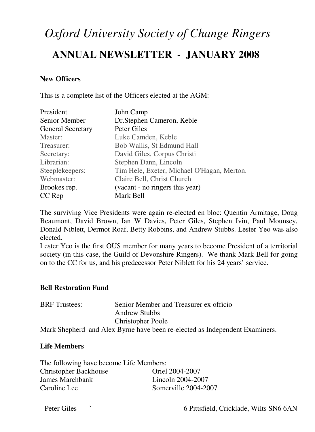# *Oxford University Society of Change Ringers*

# **ANNUAL NEWSLETTER - JANUARY 2008**

# **New Officers**

This is a complete list of the Officers elected at the AGM:

| President                | John Camp                                  |  |
|--------------------------|--------------------------------------------|--|
| Senior Member            | Dr. Stephen Cameron, Keble                 |  |
| <b>General Secretary</b> | Peter Giles                                |  |
| Master:                  | Luke Camden, Keble                         |  |
| Treasurer:               | Bob Wallis, St Edmund Hall                 |  |
| Secretary:               | David Giles, Corpus Christi                |  |
| Librarian:               | Stephen Dann, Lincoln                      |  |
| Steeplekeepers:          | Tim Hele, Exeter, Michael O'Hagan, Merton. |  |
| Webmaster:               | Claire Bell, Christ Church                 |  |
| Brookes rep.             | (vacant - no ringers this year)            |  |
| CC Rep                   | Mark Bell                                  |  |

The surviving Vice Presidents were again re-elected en bloc: Quentin Armitage, Doug Beaumont, David Brown, Ian W Davies, Peter Giles, Stephen Ivin, Paul Mounsey, Donald Niblett, Dermot Roaf, Betty Robbins, and Andrew Stubbs. Lester Yeo was also elected.

Lester Yeo is the first OUS member for many years to become President of a territorial society (in this case, the Guild of Devonshire Ringers). We thank Mark Bell for going on to the CC for us, and his predecessor Peter Niblett for his 24 years' service.

## **Bell Restoration Fund**

| <b>BRF</b> Trustees: | Senior Member and Treasurer ex officio                                 |
|----------------------|------------------------------------------------------------------------|
|                      | <b>Andrew Stubbs</b>                                                   |
|                      | <b>Christopher Poole</b>                                               |
|                      | Moule Chamboud, and Alay Dewns house hoove no clooted on Indonesiant L |

# Mark Shepherd and Alex Byrne have been re-elected as Independent Examiners.

## **Life Members**

| The following have become Life Members: |                      |  |
|-----------------------------------------|----------------------|--|
| <b>Christopher Backhouse</b>            | Oriel 2004-2007      |  |
| James Marchbank                         | Lincoln 2004-2007    |  |
| Caroline Lee                            | Somerville 2004-2007 |  |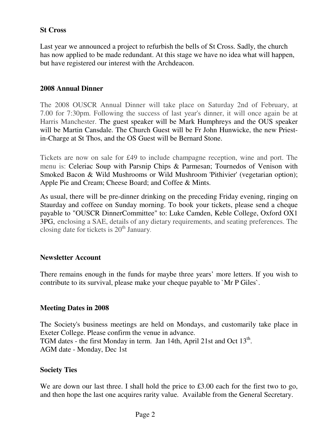# **St Cross**

Last year we announced a project to refurbish the bells of St Cross. Sadly, the church has now applied to be made redundant. At this stage we have no idea what will happen, but have registered our interest with the Archdeacon.

# **2008 Annual Dinner**

The 2008 OUSCR Annual Dinner will take place on Saturday 2nd of February, at 7.00 for 7:30pm. Following the success of last year's dinner, it will once again be at Harris Manchester. The guest speaker will be Mark Humphreys and the OUS speaker will be Martin Cansdale. The Church Guest will be Fr John Hunwicke, the new Priestin-Charge at St Thos, and the OS Guest will be Bernard Stone.

Tickets are now on sale for £49 to include champagne reception, wine and port. The menu is: Celeriac Soup with Parsnip Chips & Parmesan; Tournedos of Venison with Smoked Bacon & Wild Mushrooms or Wild Mushroom 'Pithivier' (vegetarian option); Apple Pie and Cream; Cheese Board; and Coffee & Mints.

As usual, there will be pre-dinner drinking on the preceding Friday evening, ringing on Staurday and coffeee on Sunday morning. To book your tickets, please send a cheque payable to "OUSCR DinnerCommittee" to: Luke Camden, Keble College, Oxford OX1 3PG, enclosing a SAE, details of any dietary requirements, and seating preferences. The closing date for tickets is  $20<sup>th</sup>$  January.

## **Newsletter Account**

There remains enough in the funds for maybe three years' more letters. If you wish to contribute to its survival, please make your cheque payable to `Mr P Giles`.

## **Meeting Dates in 2008**

The Society's business meetings are held on Mondays, and customarily take place in Exeter College. Please confirm the venue in advance. TGM dates - the first Monday in term. Jan 14th, April 21st and Oct 13<sup>th</sup>. AGM date - Monday, Dec 1st

## **Society Ties**

We are down our last three. I shall hold the price to £3.00 each for the first two to go, and then hope the last one acquires rarity value. Available from the General Secretary.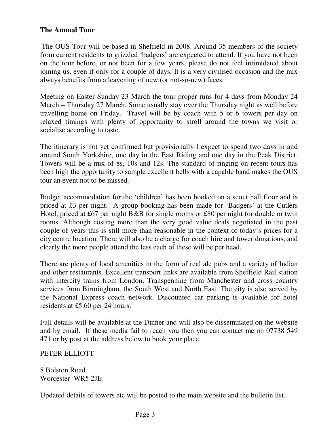# **The Annual Tour**

The OUS Tour will be based in Sheffield in 2008. Around 35 members of the society from current residents to grizzled 'badgers' are expected to attend. If you have not been on the tour before, or not been for a few years, please do not feel intimidated about joining us, even if only for a couple of days. It is a very civilised occasion and the mix always benefits from a leavening of new (or not-so-new) faces.

Meeting on Easter Sunday 23 March the tour proper runs for 4 days from Monday 24 March – Thursday 27 March. Some usually stay over the Thursday night as well before travelling home on Friday. Travel will be by coach with 5 or 6 towers per day on relaxed timings with plenty of opportunity to stroll around the towns we visit or socialise according to taste.

The itinerary is not yet confirmed but provisionally I expect to spend two days in and around South Yorkshire, one day in the East Riding and one day in the Peak District. Towers will be a mix of 8s, 10s and 12s. The standard of ringing on recent tours has been high the opportunity to sample excellent bells with a capable band makes the OUS tour an event not to be missed.

Budget accommodation for the 'children' has been booked on a scout hall floor and is priced at £3 per night. A group booking has been made for 'Badgers' at the Cutlers Hotel, priced at £67 per night B&B for single rooms or £80 per night for double or twin rooms. Although costing more than the very good value deals negotiated in the past couple of years this is still more than reasonable in the context of today's prices for a city centre location. There will also be a charge for coach hire and tower donations, and clearly the more people attend the less each of these will be per head.

There are plenty of local amenities in the form of real ale pubs and a variety of Indian and other restaurants. Excellent transport links are available from Sheffield Rail station with intercity trains from London, Transpennine from Manchester and cross country services from Birmingham, the South West and North East. The city is also served by the National Express coach network. Discounted car parking is available for hotel residents at £5.60 per 24 hours.

Full details will be available at the Dinner and will also be disseminated on the website and by email. If these media fail to reach you then you can contact me on 07738 549 471 or by post at the address below to book your place.

## PETER ELLIOTT

8 Bolston Road Worcester WR5 2JE

Updated details of towers etc will be posted to the main website and the bulletin list.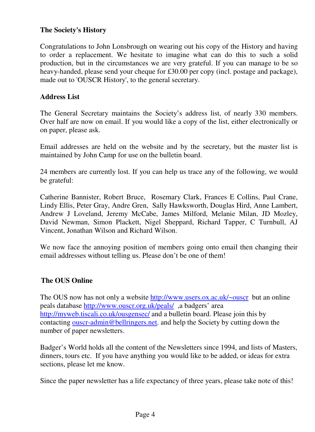# **The Society's History**

Congratulations to John Lonsbrough on wearing out his copy of the History and having to order a replacement. We hesitate to imagine what can do this to such a solid production, but in the circumstances we are very grateful. If you can manage to be so heavy-handed, please send your cheque for £30.00 per copy (incl. postage and package), made out to 'OUSCR History', to the general secretary.

# **Address List**

The General Secretary maintains the Society's address list, of nearly 330 members. Over half are now on email. If you would like a copy of the list, either electronically or on paper, please ask.

Email addresses are held on the website and by the secretary, but the master list is maintained by John Camp for use on the bulletin board.

24 members are currently lost. If you can help us trace any of the following, we would be grateful:

Catherine Bannister, Robert Bruce, Rosemary Clark, Frances E Collins, Paul Crane, Lindy Ellis, Peter Gray, Andre Gren, Sally Hawksworth, Douglas Hird, Anne Lambert, Andrew J Loveland, Jeremy McCabe, James Milford, Melanie Milan, JD Mozley, David Newman, Simon Plackett, Nigel Sheppard, Richard Tapper, C Turnbull, AJ Vincent, Jonathan Wilson and Richard Wilson.

We now face the annoying position of members going onto email then changing their email addresses without telling us. Please don't be one of them!

# **The OUS Online**

The OUS now has not only a website http://www.users.ox.ac.uk/~ouscr but an online peals database http://www.ouscr.org.uk/peals/ ,a badgers' area http://myweb.tiscali.co.uk/ousgensec/ and a bulletin board. Please join this by contacting ouscr-admin@bellringers.net. and help the Society by cutting down the number of paper newsletters.

Badger's World holds all the content of the Newsletters since 1994, and lists of Masters, dinners, tours etc. If you have anything you would like to be added, or ideas for extra sections, please let me know.

Since the paper newsletter has a life expectancy of three years, please take note of this!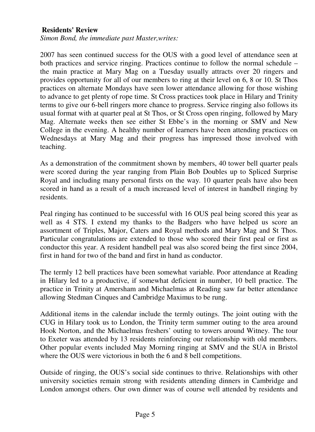## **Residents' Review**

*Simon Bond, the immediate past Master,writes:* 

2007 has seen continued success for the OUS with a good level of attendance seen at both practices and service ringing. Practices continue to follow the normal schedule – the main practice at Mary Mag on a Tuesday usually attracts over 20 ringers and provides opportunity for all of our members to ring at their level on 6, 8 or 10. St Thos practices on alternate Mondays have seen lower attendance allowing for those wishing to advance to get plenty of rope time. St Cross practices took place in Hilary and Trinity terms to give our 6-bell ringers more chance to progress. Service ringing also follows its usual format with at quarter peal at St Thos, or St Cross open ringing, followed by Mary Mag. Alternate weeks then see either St Ebbe's in the morning or SMV and New College in the evening. A healthy number of learners have been attending practices on Wednesdays at Mary Mag and their progress has impressed those involved with teaching.

As a demonstration of the commitment shown by members, 40 tower bell quarter peals were scored during the year ranging from Plain Bob Doubles up to Spliced Surprise Royal and including many personal firsts on the way. 10 quarter peals have also been scored in hand as a result of a much increased level of interest in handbell ringing by residents.

Peal ringing has continued to be successful with 16 OUS peal being scored this year as well as 4 STS. I extend my thanks to the Badgers who have helped us score an assortment of Triples, Major, Caters and Royal methods and Mary Mag and St Thos. Particular congratulations are extended to those who scored their first peal or first as conductor this year. A resident handbell peal was also scored being the first since 2004, first in hand for two of the band and first in hand as conductor.

The termly 12 bell practices have been somewhat variable. Poor attendance at Reading in Hilary led to a productive, if somewhat deficient in number, 10 bell practice. The practice in Trinity at Amersham and Michaelmas at Reading saw far better attendance allowing Stedman Cinques and Cambridge Maximus to be rung.

Additional items in the calendar include the termly outings. The joint outing with the CUG in Hilary took us to London, the Trinity term summer outing to the area around Hook Norton, and the Michaelmas freshers' outing to towers around Witney. The tour to Exeter was attended by 13 residents reinforcing our relationship with old members. Other popular events included May Morning ringing at SMV and the SUA in Bristol where the OUS were victorious in both the 6 and 8 bell competitions.

Outside of ringing, the OUS's social side continues to thrive. Relationships with other university societies remain strong with residents attending dinners in Cambridge and London amongst others. Our own dinner was of course well attended by residents and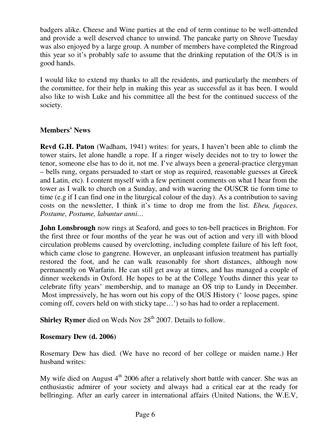badgers alike. Cheese and Wine parties at the end of term continue to be well-attended and provide a well deserved chance to unwind. The pancake party on Shrove Tuesday was also enjoyed by a large group. A number of members have completed the Ringroad this year so it's probably safe to assume that the drinking reputation of the OUS is in good hands.

I would like to extend my thanks to all the residents, and particularly the members of the committee, for their help in making this year as successful as it has been. I would also like to wish Luke and his committee all the best for the continued success of the society.

# **Members' News**

**Revd G.H. Paton** (Wadham, 1941) writes: for years, I haven't been able to climb the tower stairs, let alone handle a rope. If a ringer wisely decides not to try to lower the tenor, someone else has to do it, not me. I've always been a general-practice clergyman – bells rung, organs persuaded to start or stop as required, reasonable guesses at Greek and Latin, etc). I content myself with a few pertinent comments on what I hear from the tower as I walk to church on a Sunday, and with waering the OUSCR tie form time to time (e.g if I can find one in the liturgical colour of the day). As a contribution to saving costs on the newsletter, I think it's time to drop me from the list. *Eheu, fugaces, Postume, Postume, labuntur anni…*

**John Lonsbrough** now rings at Seaford, and goes to ten-bell practices in Brighton. For the first three or four months of the year he was out of action and very ill with blood circulation problems caused by overclotting, including complete failure of his left foot, which came close to gangrene. However, an unpleasant infusion treatment has partially restored the foot, and he can walk reasonably for short distances, although now permanently on Warfarin. He can still get away at times, and has managed a couple of dinner weekends in Oxford. He hopes to be at the College Youths dinner this year to celebrate fifty years' membership, and to manage an OS trip to Lundy in December. Most impressively, he has worn out his copy of the OUS History (' loose pages, spine coming off, covers held on with sticky tape…') so has had to order a replacement.

**Shirley Rymer** died on Weds Nov 28<sup>th</sup> 2007. Details to follow.

## **Rosemary Dew (d. 2006)**

Rosemary Dew has died. (We have no record of her college or maiden name.) Her husband writes:

My wife died on August  $4<sup>th</sup>$  2006 after a relatively short battle with cancer. She was an enthusiastic admirer of your society and always had a critical ear at the ready for bellringing. After an early career in international affairs (United Nations, the W.E.V,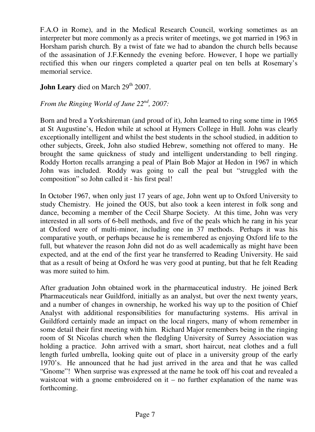F.A.O in Rome), and in the Medical Research Council, working sometimes as an interpreter but more commonly as a precis writer of meetings, we got married in 1963 in Horsham parish church. By a twist of fate we had to abandon the church bells because of the assasination of J.F.Kennedy the evening before. However, I hope we partially rectified this when our ringers completed a quarter peal on ten bells at Rosemary's memorial service.

# **John Leary** died on March 29<sup>th</sup> 2007.

# *From the Ringing World of June 22nd, 2007:*

Born and bred a Yorkshireman (and proud of it), John learned to ring some time in 1965 at St Augustine's, Hedon while at school at Hymers College in Hull. John was clearly exceptionally intelligent and whilst the best students in the school studied, in addition to other subjects, Greek, John also studied Hebrew, something not offered to many. He brought the same quickness of study and intelligent understanding to bell ringing. Roddy Horton recalls arranging a peal of Plain Bob Major at Hedon in 1967 in which John was included. Roddy was going to call the peal but "struggled with the composition" so John called it - his first peal!

In October 1967, when only just 17 years of age, John went up to Oxford University to study Chemistry. He joined the OUS, but also took a keen interest in folk song and dance, becoming a member of the Cecil Sharpe Society. At this time, John was very interested in all sorts of 6-bell methods, and five of the peals which he rang in his year at Oxford were of multi-minor, including one in 37 methods. Perhaps it was his comparative youth, or perhaps because he is remembered as enjoying Oxford life to the full, but whatever the reason John did not do as well academically as might have been expected, and at the end of the first year he transferred to Reading University. He said that as a result of being at Oxford he was very good at punting, but that he felt Reading was more suited to him.

After graduation John obtained work in the pharmaceutical industry. He joined Berk Pharmaceuticals near Guildford, initially as an analyst, but over the next twenty years, and a number of changes in ownership, he worked his way up to the position of Chief Analyst with additional responsibilities for manufacturing systems. His arrival in Guildford certainly made an impact on the local ringers, many of whom remember in some detail their first meeting with him. Richard Major remembers being in the ringing room of St Nicolas church when the fledgling University of Surrey Association was holding a practice. John arrived with a smart, short haircut, neat clothes and a full length furled umbrella, looking quite out of place in a university group of the early 1970's. He announced that he had just arrived in the area and that he was called "Gnome"! When surprise was expressed at the name he took off his coat and revealed a waistcoat with a gnome embroidered on  $it - no$  further explanation of the name was forthcoming.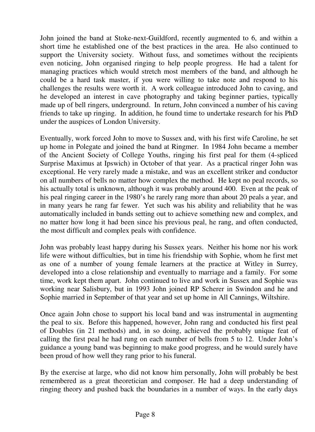John joined the band at Stoke-next-Guildford, recently augmented to 6, and within a short time he established one of the best practices in the area. He also continued to support the University society. Without fuss, and sometimes without the recipients even noticing, John organised ringing to help people progress. He had a talent for managing practices which would stretch most members of the band, and although he could be a hard task master, if you were willing to take note and respond to his challenges the results were worth it. A work colleague introduced John to caving, and he developed an interest in cave photography and taking beginner parties, typically made up of bell ringers, underground. In return, John convinced a number of his caving friends to take up ringing. In addition, he found time to undertake research for his PhD under the auspices of London University.

Eventually, work forced John to move to Sussex and, with his first wife Caroline, he set up home in Polegate and joined the band at Ringmer. In 1984 John became a member of the Ancient Society of College Youths, ringing his first peal for them (4-spliced Surprise Maximus at Ipswich) in October of that year. As a practical ringer John was exceptional. He very rarely made a mistake, and was an excellent striker and conductor on all numbers of bells no matter how complex the method. He kept no peal records, so his actually total is unknown, although it was probably around 400. Even at the peak of his peal ringing career in the 1980's he rarely rang more than about 20 peals a year, and in many years he rang far fewer. Yet such was his ability and reliability that he was automatically included in bands setting out to achieve something new and complex, and no matter how long it had been since his previous peal, he rang, and often conducted, the most difficult and complex peals with confidence.

John was probably least happy during his Sussex years. Neither his home nor his work life were without difficulties, but in time his friendship with Sophie, whom he first met as one of a number of young female learners at the practice at Witley in Surrey, developed into a close relationship and eventually to marriage and a family. For some time, work kept them apart. John continued to live and work in Sussex and Sophie was working near Salisbury, but in 1993 John joined RP Scherer in Swindon and he and Sophie married in September of that year and set up home in All Cannings, Wiltshire.

Once again John chose to support his local band and was instrumental in augmenting the peal to six. Before this happened, however, John rang and conducted his first peal of Doubles (in 21 methods) and, in so doing, achieved the probably unique feat of calling the first peal he had rung on each number of bells from 5 to 12. Under John's guidance a young band was beginning to make good progress, and he would surely have been proud of how well they rang prior to his funeral.

By the exercise at large, who did not know him personally, John will probably be best remembered as a great theoretician and composer. He had a deep understanding of ringing theory and pushed back the boundaries in a number of ways. In the early days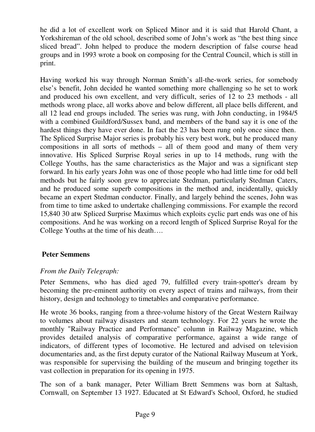he did a lot of excellent work on Spliced Minor and it is said that Harold Chant, a Yorkshireman of the old school, described some of John's work as "the best thing since sliced bread". John helped to produce the modern description of false course head groups and in 1993 wrote a book on composing for the Central Council, which is still in print.

Having worked his way through Norman Smith's all-the-work series, for somebody else's benefit, John decided he wanted something more challenging so he set to work and produced his own excellent, and very difficult, series of 12 to 23 methods - all methods wrong place, all works above and below different, all place bells different, and all 12 lead end groups included. The series was rung, with John conducting, in 1984/5 with a combined Guildford/Sussex band, and members of the band say it is one of the hardest things they have ever done. In fact the 23 has been rung only once since then. The Spliced Surprise Major series is probably his very best work, but he produced many compositions in all sorts of methods – all of them good and many of them very innovative. His Spliced Surprise Royal series in up to 14 methods, rung with the College Youths, has the same characteristics as the Major and was a significant step forward. In his early years John was one of those people who had little time for odd bell methods but he fairly soon grew to appreciate Stedman, particularly Stedman Caters, and he produced some superb compositions in the method and, incidentally, quickly became an expert Stedman conductor. Finally, and largely behind the scenes, John was from time to time asked to undertake challenging commissions. For example the record 15,840 30 atw Spliced Surprise Maximus which exploits cyclic part ends was one of his compositions. And he was working on a record length of Spliced Surprise Royal for the College Youths at the time of his death….

## **Peter Semmens**

## *From the Daily Telegraph:*

Peter Semmens, who has died aged 79, fulfilled every train-spotter's dream by becoming the pre-eminent authority on every aspect of trains and railways, from their history, design and technology to timetables and comparative performance.

He wrote 36 books, ranging from a three-volume history of the Great Western Railway to volumes about railway disasters and steam technology. For 22 years he wrote the monthly "Railway Practice and Performance" column in Railway Magazine, which provides detailed analysis of comparative performance, against a wide range of indicators, of different types of locomotive. He lectured and advised on television documentaries and, as the first deputy curator of the National Railway Museum at York, was responsible for supervising the building of the museum and bringing together its vast collection in preparation for its opening in 1975.

The son of a bank manager, Peter William Brett Semmens was born at Saltash, Cornwall, on September 13 1927. Educated at St Edward's School, Oxford, he studied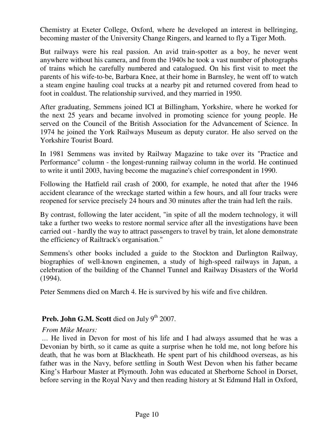Chemistry at Exeter College, Oxford, where he developed an interest in bellringing, becoming master of the University Change Ringers, and learned to fly a Tiger Moth.

But railways were his real passion. An avid train-spotter as a boy, he never went anywhere without his camera, and from the 1940s he took a vast number of photographs of trains which he carefully numbered and catalogued. On his first visit to meet the parents of his wife-to-be, Barbara Knee, at their home in Barnsley, he went off to watch a steam engine hauling coal trucks at a nearby pit and returned covered from head to foot in coaldust. The relationship survived, and they married in 1950.

After graduating, Semmens joined ICI at Billingham, Yorkshire, where he worked for the next 25 years and became involved in promoting science for young people. He served on the Council of the British Association for the Advancement of Science. In 1974 he joined the York Railways Museum as deputy curator. He also served on the Yorkshire Tourist Board.

In 1981 Semmens was invited by Railway Magazine to take over its "Practice and Performance" column - the longest-running railway column in the world. He continued to write it until 2003, having become the magazine's chief correspondent in 1990.

Following the Hatfield rail crash of 2000, for example, he noted that after the 1946 accident clearance of the wreckage started within a few hours, and all four tracks were reopened for service precisely 24 hours and 30 minutes after the train had left the rails.

By contrast, following the later accident, "in spite of all the modern technology, it will take a further two weeks to restore normal service after all the investigations have been carried out - hardly the way to attract passengers to travel by train, let alone demonstrate the efficiency of Railtrack's organisation."

Semmens's other books included a guide to the Stockton and Darlington Railway, biographies of well-known enginemen, a study of high-speed railways in Japan, a celebration of the building of the Channel Tunnel and Railway Disasters of the World (1994).

Peter Semmens died on March 4. He is survived by his wife and five children.

# **Preb. John G.M. Scott** died on July 9<sup>th</sup> 2007.

## *From Mike Mears:*

 … He lived in Devon for most of his life and I had always assumed that he was a Devonian by birth, so it came as quite a surprise when he told me, not long before his death, that he was born at Blackheath. He spent part of his childhood overseas, as his father was in the Navy, before settling in South West Devon when his father became King's Harbour Master at Plymouth. John was educated at Sherborne School in Dorset, before serving in the Royal Navy and then reading history at St Edmund Hall in Oxford,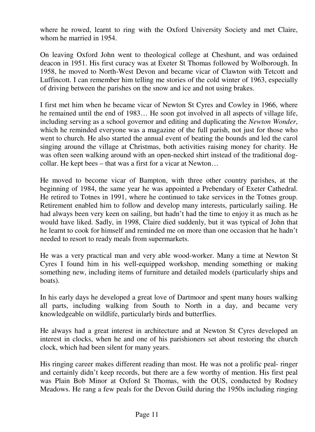where he rowed, learnt to ring with the Oxford University Society and met Claire, whom he married in 1954.

On leaving Oxford John went to theological college at Cheshunt, and was ordained deacon in 1951. His first curacy was at Exeter St Thomas followed by Wolborough. In 1958, he moved to North-West Devon and became vicar of Clawton with Tetcott and Luffincott. I can remember him telling me stories of the cold winter of 1963, especially of driving between the parishes on the snow and ice and not using brakes.

I first met him when he became vicar of Newton St Cyres and Cowley in 1966, where he remained until the end of 1983… He soon got involved in all aspects of village life, including serving as a school governor and editing and duplicating the *Newton Wonder*, which he reminded everyone was a magazine of the full parish, not just for those who went to church. He also started the annual event of beating the bounds and led the carol singing around the village at Christmas, both activities raising money for charity. He was often seen walking around with an open-necked shirt instead of the traditional dogcollar. He kept bees – that was a first for a vicar at Newton…

He moved to become vicar of Bampton, with three other country parishes, at the beginning of 1984, the same year he was appointed a Prebendary of Exeter Cathedral. He retired to Totnes in 1991, where he continued to take services in the Totnes group. Retirement enabled him to follow and develop many interests, particularly sailing. He had always been very keen on sailing, but hadn't had the time to enjoy it as much as he would have liked. Sadly, in 1998, Claire died suddenly, but it was typical of John that he learnt to cook for himself and reminded me on more than one occasion that he hadn't needed to resort to ready meals from supermarkets.

He was a very practical man and very able wood-worker. Many a time at Newton St Cyres I found him in his well-equipped workshop, mending something or making something new, including items of furniture and detailed models (particularly ships and boats).

In his early days he developed a great love of Dartmoor and spent many hours walking all parts, including walking from South to North in a day, and became very knowledgeable on wildlife, particularly birds and butterflies.

He always had a great interest in architecture and at Newton St Cyres developed an interest in clocks, when he and one of his parishioners set about restoring the church clock, which had been silent for many years.

His ringing career makes different reading than most. He was not a prolific peal- ringer and certainly didn't keep records, but there are a few worthy of mention. His first peal was Plain Bob Minor at Oxford St Thomas, with the OUS, conducted by Rodney Meadows. He rang a few peals for the Devon Guild during the 1950s including ringing